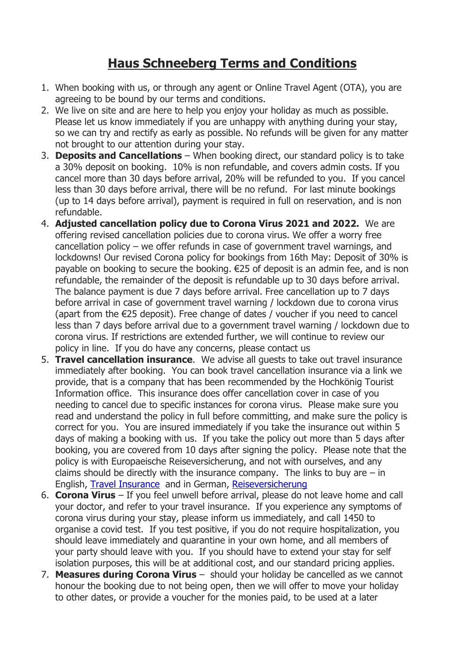## **Haus Schneeberg Terms and Conditions**

- 1. When booking with us, or through any agent or Online Travel Agent (OTA), you are agreeing to be bound by our terms and conditions.
- 2. We live on site and are here to help you enjoy your holiday as much as possible. Please let us know immediately if you are unhappy with anything during your stay, so we can try and rectify as early as possible. No refunds will be given for any matter not brought to our attention during your stay.
- 3. **Deposits and Cancellations** When booking direct, our standard policy is to take a 30% deposit on booking. 10% is non refundable, and covers admin costs. If you cancel more than 30 days before arrival, 20% will be refunded to you. If you cancel less than 30 days before arrival, there will be no refund. For last minute bookings (up to 14 days before arrival), payment is required in full on reservation, and is non refundable.
- 4. **Adjusted cancellation policy due to Corona Virus 2021 and 2022.** We are offering revised cancellation policies due to corona virus. We offer a worry free cancellation policy – we offer refunds in case of government travel warnings, and lockdowns! Our revised Corona policy for bookings from 16th May: Deposit of 30% is payable on booking to secure the booking. €25 of deposit is an admin fee, and is non refundable, the remainder of the deposit is refundable up to 30 days before arrival. The balance payment is due 7 days before arrival. Free cancellation up to 7 days before arrival in case of government travel warning / lockdown due to corona virus (apart from the €25 deposit). Free change of dates / voucher if you need to cancel less than 7 days before arrival due to a government travel warning / lockdown due to corona virus. If restrictions are extended further, we will continue to review our policy in line. If you do have any concerns, please contact us
- 5. **Travel cancellation insurance**. We advise all guests to take out travel insurance immediately after booking. You can book travel cancellation insurance via a link we provide, that is a company that has been recommended by the Hochkönig Tourist Information office. This insurance does offer cancellation cover in case of you needing to cancel due to specific instances for corona virus. Please make sure you read and understand the policy in full before committing, and make sure the policy is correct for you. You are insured immediately if you take the insurance out within 5 days of making a booking with us. If you take the policy out more than 5 days after booking, you are covered from 10 days after signing the policy. Please note that the policy is with Europaeische Reiseversicherung, and not with ourselves, and any claims should be directly with the insurance company. The links to buy are  $-$  in English, [Travel Insurance](https://bit.ly/3yOkn8k) and in German, [Reiseversicherung](https://bit.ly/3hzVM1i)
- 6. **Corona Virus** If you feel unwell before arrival, please do not leave home and call your doctor, and refer to your travel insurance. If you experience any symptoms of corona virus during your stay, please inform us immediately, and call 1450 to organise a covid test. If you test positive, if you do not require hospitalization, you should leave immediately and quarantine in your own home, and all members of your party should leave with you. If you should have to extend your stay for self isolation purposes, this will be at additional cost, and our standard pricing applies.
- 7. **Measures during Corona Virus** should your holiday be cancelled as we cannot honour the booking due to not being open, then we will offer to move your holiday to other dates, or provide a voucher for the monies paid, to be used at a later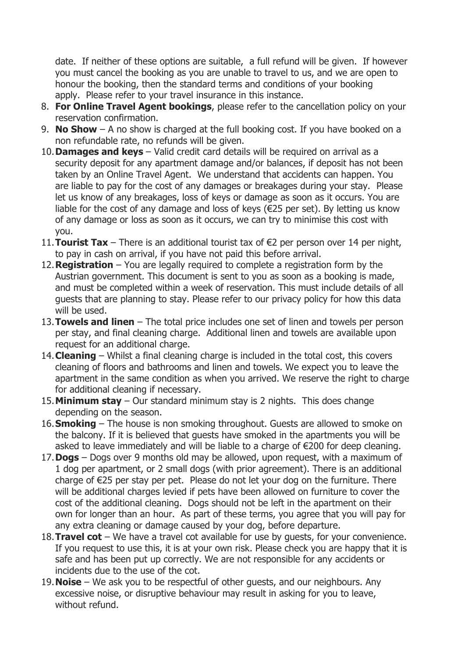date. If neither of these options are suitable, a full refund will be given. If however you must cancel the booking as you are unable to travel to us, and we are open to honour the booking, then the standard terms and conditions of your booking apply. Please refer to your travel insurance in this instance.

- 8. **For Online Travel Agent bookings**, please refer to the cancellation policy on your reservation confirmation.
- 9. **No Show** A no show is charged at the full booking cost. If you have booked on a non refundable rate, no refunds will be given.
- 10.**Damages and keys** Valid credit card details will be required on arrival as a security deposit for any apartment damage and/or balances, if deposit has not been taken by an Online Travel Agent. We understand that accidents can happen. You are liable to pay for the cost of any damages or breakages during your stay. Please let us know of any breakages, loss of keys or damage as soon as it occurs. You are liable for the cost of any damage and loss of keys ( $\epsilon$ 25 per set). By letting us know of any damage or loss as soon as it occurs, we can try to minimise this cost with you.
- 11.**Tourist Tax** There is an additional tourist tax of €2 per person over 14 per night, to pay in cash on arrival, if you have not paid this before arrival.
- 12.**Registration** You are legally required to complete a registration form by the Austrian government. This document is sent to you as soon as a booking is made, and must be completed within a week of reservation. This must include details of all guests that are planning to stay. Please refer to our privacy policy for how this data will be used.
- 13.**Towels and linen** The total price includes one set of linen and towels per person per stay, and final cleaning charge. Additional linen and towels are available upon request for an additional charge.
- 14.**Cleaning** Whilst a final cleaning charge is included in the total cost, this covers cleaning of floors and bathrooms and linen and towels. We expect you to leave the apartment in the same condition as when you arrived. We reserve the right to charge for additional cleaning if necessary.
- 15.**Minimum stay** Our standard minimum stay is 2 nights. This does change depending on the season.
- 16.**Smoking** The house is non smoking throughout. Guests are allowed to smoke on the balcony. If it is believed that guests have smoked in the apartments you will be asked to leave immediately and will be liable to a charge of €200 for deep cleaning.
- 17.**Dogs** Dogs over 9 months old may be allowed, upon request, with a maximum of 1 dog per apartment, or 2 small dogs (with prior agreement). There is an additional charge of €25 per stay per pet. Please do not let your dog on the furniture. There will be additional charges levied if pets have been allowed on furniture to cover the cost of the additional cleaning. Dogs should not be left in the apartment on their own for longer than an hour. As part of these terms, you agree that you will pay for any extra cleaning or damage caused by your dog, before departure.
- 18.**Travel cot** We have a travel cot available for use by guests, for your convenience. If you request to use this, it is at your own risk. Please check you are happy that it is safe and has been put up correctly. We are not responsible for any accidents or incidents due to the use of the cot.
- 19.**Noise** We ask you to be respectful of other guests, and our neighbours. Any excessive noise, or disruptive behaviour may result in asking for you to leave, without refund.